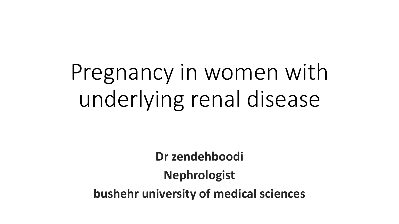# Pregnancy in women with underlying renal disease

**Dr zendehboodi Nephrologist bushehr university of medical sciences**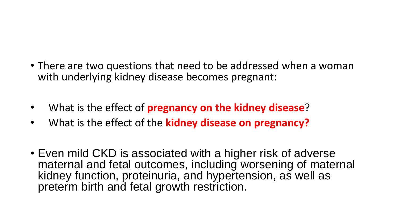- There are two questions that need to be addressed when a woman with underlying kidney disease becomes pregnant:
- What is the effect of **pregnancy on the kidney disease**?
- What is the effect of the **kidney disease on pregnancy?**
- Even mild CKD is associated with a higher risk of adverse maternal and fetal outcomes, including worsening of maternal kidney function, proteinuria, and hypertension, as well as preterm birth and fetal growth restriction.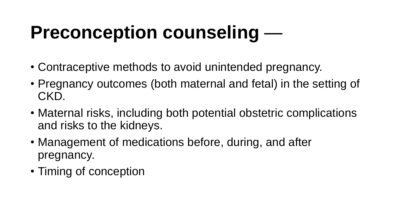# **Preconception counseling** —

- Contraceptive methods to avoid unintended pregnancy.
- Pregnancy outcomes (both maternal and fetal) in the setting of CKD.
- Maternal risks, including both potential obstetric complications and risks to the kidneys.
- Management of medications before, during, and after pregnancy.
- Timing of conception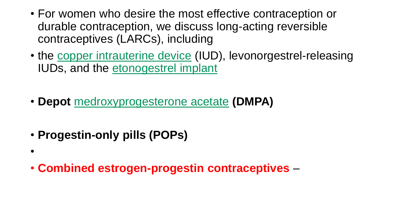- For women who desire the most effective contraception or durable contraception, we discuss long-acting reversible contraceptives (LARCs), including
- the copper intrauterine device (IUD), levonorgestrel-releasing IUDs, and the etonogestrel implant
- **Depot** medroxyprogesterone acetate **(DMPA)**
- **Progestin-only pills (POPs)**

•

• **Combined estrogen-progestin contraceptives** –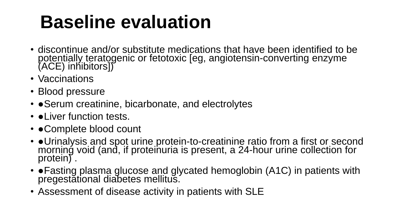# **Baseline evaluation**

- discontinue and/or substitute medications that have been identified to be potentially teratogenic or fetotoxic [eg, angiotensin-converting enzyme (ACE) inhibitors])
- Vaccinations
- Blood pressure
- • Serum creatinine, bicarbonate, and electrolytes
- • Liver function tests.
- • Complete blood count
- • Urinalysis and spot urine protein-to-creatinine ratio from a first or second morning void (and, if proteinuria is present, a 24-hour urine collection for protein).
- • Fasting plasma glucose and glycated hemoglobin (A1C) in patients with pregestational diabetes mellitus.
- Assessment of disease activity in patients with SLE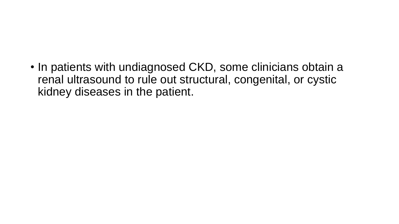• In patients with undiagnosed CKD, some clinicians obtain a renal ultrasound to rule out structural, congenital, or cystic kidney diseases in the patient.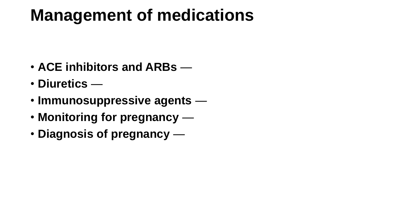### **Management of medications**

- **ACE inhibitors and ARBs** —
- **Diuretics** —
- **Immunosuppressive agents** —
- **Monitoring for pregnancy** —
- **Diagnosis of pregnancy** —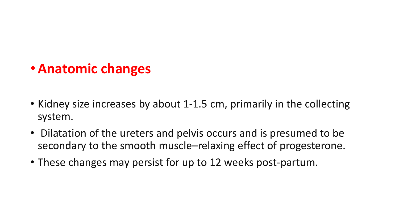### •**Anatomic changes**

- Kidney size increases by about 1-1.5 cm, primarily in the collecting system.
- Dilatation of the ureters and pelvis occurs and is presumed to be secondary to the smooth muscle–relaxing effect of progesterone.
- These changes may persist for up to 12 weeks post-partum.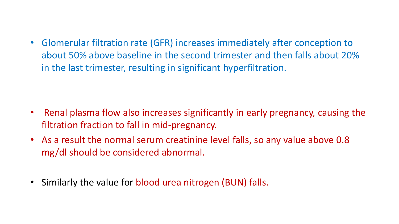• Glomerular filtration rate (GFR) increases immediately after conception to about 50% above baseline in the second trimester and then falls about 20% in the last trimester, resulting in significant hyperfiltration.

- Renal plasma flow also increases significantly in early pregnancy, causing the filtration fraction to fall in mid-pregnancy.
- As a result the normal serum creatinine level falls, so any value above 0.8 mg/dl should be considered abnormal.
- Similarly the value for blood urea nitrogen (BUN) falls.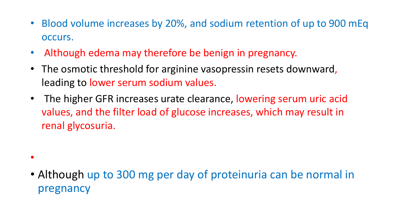- Blood volume increases by 20%, and sodium retention of up to 900 mEq occurs.
- Although edema may therefore be benign in pregnancy.
- The osmotic threshold for arginine vasopressin resets downward, leading to lower serum sodium values.
- The higher GFR increases urate clearance, lowering serum uric acid values, and the filter load of glucose increases, which may result in renal glycosuria.
- $\bullet$
- Although up to 300 mg per day of proteinuria can be normal in pregnancy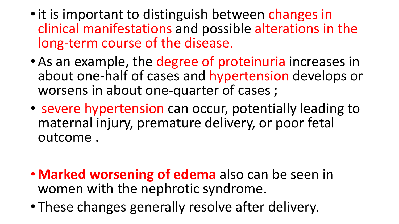- it is important to distinguish between changes in clinical manifestations and possible alterations in the long-term course of the disease.
- As an example, the degree of proteinuria increases in about one-half of cases and hypertension develops or worsens in about one-quarter of cases ;
- severe hypertension can occur, potentially leading to maternal injury, premature delivery, or poor fetal outcome .
- **Marked worsening of edema** also can be seen in women with the nephrotic syndrome.
- These changes generally resolve after delivery.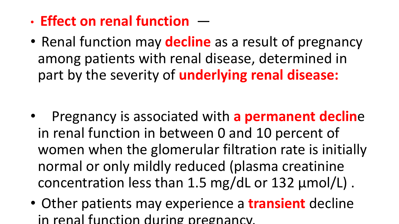- **Effect on renal function** —
- Renal function may **decline** as a result of pregnancy among patients with renal disease, determined in part by the severity of **underlying renal disease:**

- Pregnancy is associated with **a permanent declin**e in renal function in between 0 and 10 percent of women when the glomerular filtration rate is initially normal or only mildly reduced (plasma creatinine concentration less than 1.5 mg/dL or 132 µmol/L) .
- Other patients may experience a **transient** decline in renal function during pregnancy.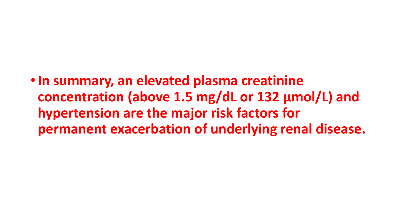•**In summary, an elevated plasma creatinine concentration (above 1.5 mg/dL or 132 µmol/L) and hypertension are the major risk factors for permanent exacerbation of underlying renal disease.**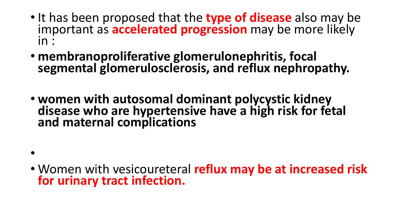- It has been proposed that the **type of disease** also may be important as **accelerated progression** may be more likely in :
- **membranoproliferative glomerulonephritis, focal segmental glomerulosclerosis, and reflux nephropathy.**
- **women with autosomal dominant polycystic kidney disease who are hypertensive have a high risk for fetal and maternal complications**
- •
- Women with vesicoureteral **reflux may be at increased risk for urinary tract infection.**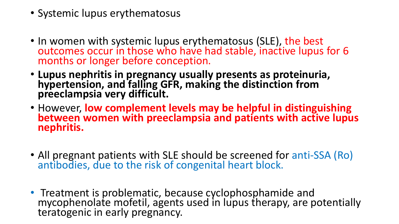- Systemic lupus erythematosus
- In women with systemic lupus erythematosus (SLE), the best outcomes occur in those who have had stable, inactive lupus for 6 months or longer before conception.
- **Lupus nephritis in pregnancy usually presents as proteinuria, hypertension, and falling GFR, making the distinction from preeclampsia very difficult.**
- However, **low complement levels may be helpful in distinguishing between women with preeclampsia and patients with active lupus nephritis.**
- All pregnant patients with SLE should be screened for anti-SSA (Ro) antibodies, due to the risk of congenital heart block.
- Treatment is problematic, because cyclophosphamide and mycophenolate mofetil, agents used in lupus therapy, are potentially teratogenic in early pregnancy.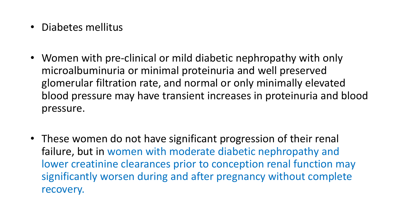- Diabetes mellitus
- Women with pre-clinical or mild diabetic nephropathy with only microalbuminuria or minimal proteinuria and well preserved glomerular filtration rate, and normal or only minimally elevated blood pressure may have transient increases in proteinuria and blood pressure.
- These women do not have significant progression of their renal failure, but in women with moderate diabetic nephropathy and lower creatinine clearances prior to conception renal function may significantly worsen during and after pregnancy without complete recovery.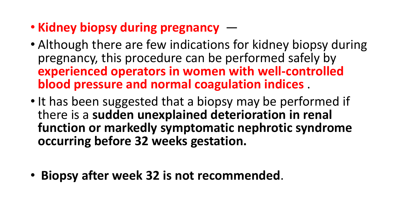- **Kidney biopsy during pregnancy** —
- Although there are few indications for kidney biopsy during pregnancy, this procedure can be performed safely by **experienced operators in women with well-controlled blood pressure and normal coagulation indices** .
- It has been suggested that a biopsy may be performed if there is a **sudden unexplained deterioration in renal function or markedly symptomatic nephrotic syndrome occurring before 32 weeks gestation.**
- **Biopsy after week 32 is not recommended**.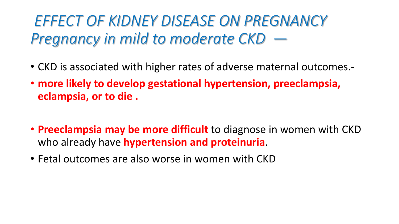### *EFFECT OF KIDNEY DISEASE ON PREGNANCY Pregnancy in mild to moderate CKD —*

- CKD is associated with higher rates of adverse maternal outcomes.-
- **more likely to develop gestational hypertension, preeclampsia, eclampsia, or to die .**
- **Preeclampsia may be more difficult** to diagnose in women with CKD who already have **hypertension and proteinuria**.
- Fetal outcomes are also worse in women with CKD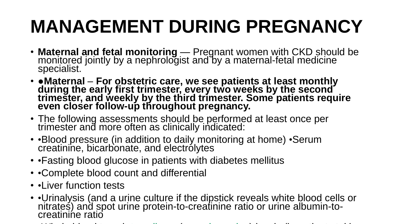# **MANAGEMENT DURING PREGNANCY**

- **Maternal and fetal monitoring** Pregnant women with CKD should be monitored jointly by a nephrologist and by a maternal-fetal medicine specialist.
- ●**Maternal For obstetric care, we see patients at least monthly during the early first trimester, every two weeks by the second trimester, and weekly by the third trimester. Some patients require even closer follow-up throughout pregnancy.**
- The following assessments should be performed at least once per trimester and more often as clinically indicated:
- •Blood pressure (in addition to daily monitoring at home) •Serum creatinine, bicarbonate, and electrolytes
- •Fasting blood glucose in patients with diabetes mellitus
- •Complete blood count and differential
- • Liver function tests
- • Urinalysis (and a urine culture if the dipstick reveals white blood cells or nitrates) and spot urine protein-to-creatinine ratio or urine albumin-tocreatinine ratio
- $\bullet$  -whole blood tacrolimus (or cyclosporine) levels (in patients taking taking taking taking taking taking taking taking taking taking taking taking taking taking taking taking taking taking taking taking taking taking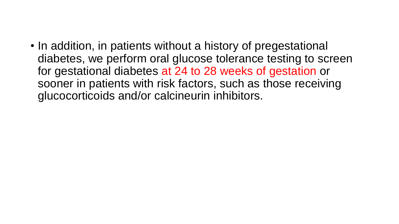• In addition, in patients without a history of pregestational diabetes, we perform oral glucose tolerance testing to screen for gestational diabetes at 24 to 28 weeks of gestation or sooner in patients with risk factors, such as those receiving glucocorticoids and/or calcineurin inhibitors.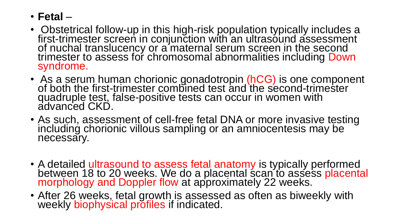#### • **Fetal** –

- Obstetrical follow-up in this high-risk population typically includes a first-trimester screen in conjunction with an ultrasound assessment of nuchal translucency or a maternal serum screen in the second trimester to assess for chromosomal abnormalities including Down syndrome.
- As a serum human chorionic gonadotropin (hCG) is one component of both the first-trimester combined test and the second-trimester quadruple test, false-positive tests can occur in women with advanced CKD.
- As such, assessment of cell-free fetal DNA or more invasive testing including chorionic villous sampling or an amniocentesis may be necessary.
- A detailed ultrasound to assess fetal anatomy is typically performed between 18 to 20 weeks. We do a placental scan to assess placental morphology and Doppler flow at approximately 22 weeks.
- After 26 weeks, fetal growth is assessed as often as biweekly with weekly biophysical profiles if indicated.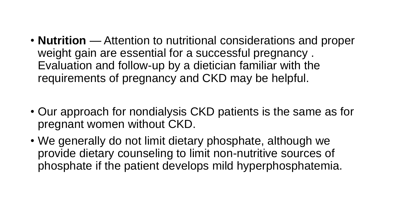- **Nutrition** Attention to nutritional considerations and proper weight gain are essential for a successful pregnancy . Evaluation and follow-up by a dietician familiar with the requirements of pregnancy and CKD may be helpful.
- Our approach for nondialysis CKD patients is the same as for pregnant women without CKD.
- We generally do not limit dietary phosphate, although we provide dietary counseling to limit non-nutritive sources of phosphate if the patient develops mild hyperphosphatemia.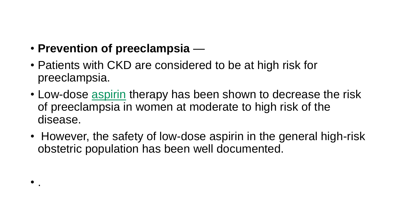• **Prevention of preeclampsia** —

 $\bullet$  .

- Patients with CKD are considered to be at high risk for preeclampsia.
- Low-dose aspirin therapy has been shown to decrease the risk of preeclampsia in women at moderate to high risk of the disease.
- However, the safety of low-dose aspirin in the general high-risk obstetric population has been well documented.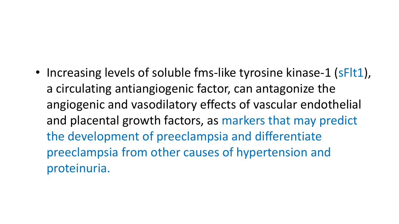• Increasing levels of soluble fms-like tyrosine kinase-1 (sFlt1), a circulating antiangiogenic factor, can antagonize the angiogenic and vasodilatory effects of vascular endothelial and placental growth factors, as markers that may predict the development of preeclampsia and differentiate preeclampsia from other causes of hypertension and proteinuria.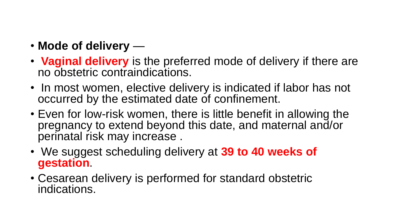- **Mode of delivery** —
- **Vaginal delivery** is the preferred mode of delivery if there are no obstetric contraindications.
- In most women, elective delivery is indicated if labor has not occurred by the estimated date of confinement.
- Even for low-risk women, there is little benefit in allowing the pregnancy to extend beyond this date, and maternal and/or perinatal risk may increase .
- We suggest scheduling delivery at **39 to 40 weeks of gestation**.
- Cesarean delivery is performed for standard obstetric indications.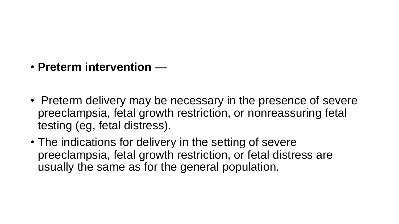- **Preterm intervention** —
- Preterm delivery may be necessary in the presence of severe preeclampsia, fetal growth restriction, or nonreassuring fetal testing (eg, fetal distress).
- The indications for delivery in the setting of severe preeclampsia, fetal growth restriction, or fetal distress are usually the same as for the general population.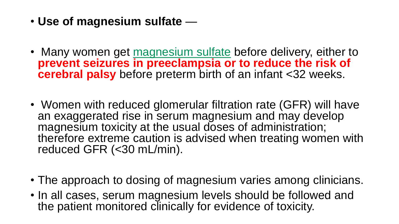- **Use of magnesium sulfate** —
- Many women get magnesium sulfate before delivery, either to **prevent seizures in preeclampsia or to reduce the risk of cerebral palsy** before preterm birth of an infant <32 weeks.
- Women with reduced glomerular filtration rate (GFR) will have an exaggerated rise in serum magnesium and may develop magnesium toxicity at the usual doses of administration; therefore extreme caution is advised when treating women with reduced GFR (<30 mL/min).
- The approach to dosing of magnesium varies among clinicians.
- In all cases, serum magnesium levels should be followed and the patient monitored clinically for evidence of toxicity.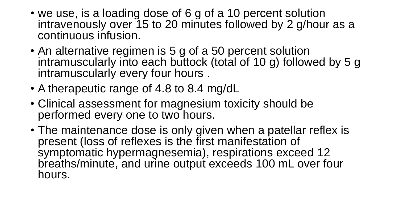- we use, is a loading dose of 6 g of a 10 percent solution intravenously over 15 to 20 minutes followed by 2 g/hour as a continuous infusion.
- An alternative regimen is 5 g of a 50 percent solution intramuscularly into each buttock (total of 10 g) followed by 5 g intramuscularly every four hours .
- A therapeutic range of 4.8 to 8.4 mg/dL
- Clinical assessment for magnesium toxicity should be performed every one to two hours.
- The maintenance dose is only given when a patellar reflex is present (loss of reflexes is the first manifestation of symptomatic hypermagnesemia), respirations exceed 12 breaths/minute, and urine output exceeds 100 mL over four hours.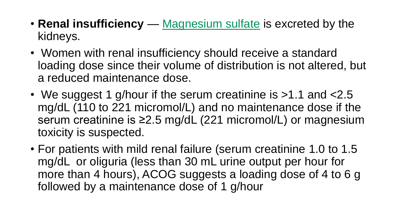- **Renal insufficiency** Magnesium sulfate is excreted by the kidneys.
- Women with renal insufficiency should receive a standard loading dose since their volume of distribution is not altered, but a reduced maintenance dose.
- We suggest 1 g/hour if the serum creatinine is >1.1 and <2.5 mg/dL (110 to 221 micromol/L) and no maintenance dose if the serum creatinine is ≥2.5 mg/dL (221 micromol/L) or magnesium toxicity is suspected.
- For patients with mild renal failure (serum creatinine 1.0 to 1.5 mg/dL or oliguria (less than 30 mL urine output per hour for more than 4 hours), ACOG suggests a loading dose of 4 to 6 g followed by a maintenance dose of 1 g/hour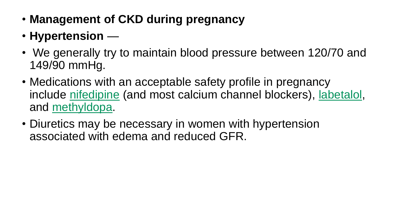- **Management of CKD during pregnancy**
- **Hypertension** —
- We generally try to maintain blood pressure between 120/70 and 149/90 mmHg.
- Medications with an acceptable safety profile in pregnancy include nifedipine (and most calcium channel blockers), labetalol, and methyldopa.
- Diuretics may be necessary in women with hypertension associated with edema and reduced GFR.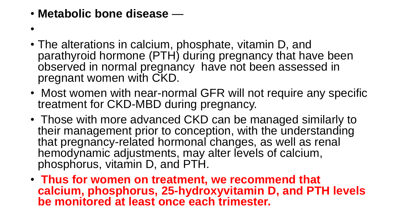- **Metabolic bone disease** —
- •
- The alterations in calcium, phosphate, vitamin D, and parathyroid hormone (PTH) during pregnancy that have been observed in normal pregnancy have not been assessed in pregnant women with CKD.
- Most women with near-normal GFR will not require any specific treatment for CKD-MBD during pregnancy.
- Those with more advanced CKD can be managed similarly to their management prior to conception, with the understanding that pregnancy-related hormonal changes, as well as renal hemodynamic adjustments, may alter levels of calcium, phosphorus, vitamin D, and PTH.
- **Thus for women on treatment, we recommend that calcium, phosphorus, 25-hydroxyvitamin D, and PTH levels be monitored at least once each trimester.**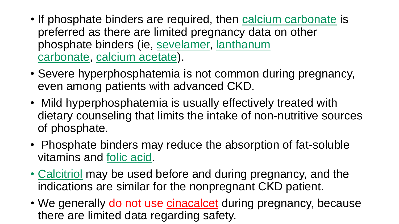- If phosphate binders are required, then calcium carbonate is preferred as there are limited pregnancy data on other phosphate binders (ie, sevelamer, lanthanum carbonate, calcium acetate).
- Severe hyperphosphatemia is not common during pregnancy, even among patients with advanced CKD.
- Mild hyperphosphatemia is usually effectively treated with dietary counseling that limits the intake of non-nutritive sources of phosphate.
- Phosphate binders may reduce the absorption of fat-soluble vitamins and folic acid.
- Calcitriol may be used before and during pregnancy, and the indications are similar for the nonpregnant CKD patient.
- We generally do not use cinacalcet during pregnancy, because there are limited data regarding safety.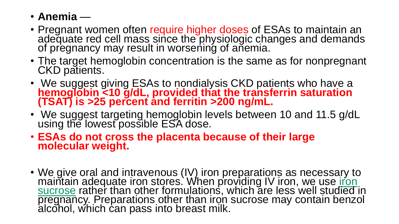- **Anemia** —
- Pregnant women often require higher doses of ESAs to maintain an adequate red cell mass since the physiologic changes and demands of pregnancy may result in worsening of anemia.
- The target hemoglobin concentration is the same as for nonpregnant CKD patients.
- We suggest giving ESAs to nondialysis CKD patients who have a **hemoglobin <10 g/dL, provided that the transferrin saturation (TSAT) is >25 percent and ferritin >200 ng/mL.**
- We suggest targeting hemoglobin levels between 10 and 11.5 g/dL using the lowest possible ESA dose.
- **ESAs do not cross the placenta because of their large molecular weight.**
- We give oral and intravenous (IV) iron preparations as necessary to maintain adequate iron stores. When providing IV iron, we use *iron* sucrose rather than other formulations, which are less well studied in pregnancy. Preparations other than iron sucrose may contain benzol alcohol, which can pass into breast milk.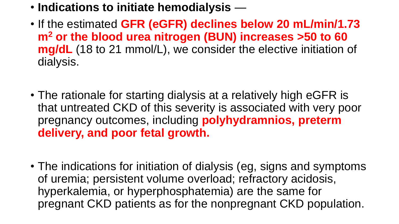- **Indications to initiate hemodialysis** —
- If the estimated **GFR (eGFR) declines below 20 mL/min/1.73 m<sup>2</sup> or the blood urea nitrogen (BUN) increases >50 to 60 mg/dL** (18 to 21 mmol/L), we consider the elective initiation of dialysis.
- The rationale for starting dialysis at a relatively high eGFR is that untreated CKD of this severity is associated with very poor pregnancy outcomes, including **polyhydramnios, preterm delivery, and poor fetal growth.**
- The indications for initiation of dialysis (eg, signs and symptoms of uremia; persistent volume overload; refractory acidosis, hyperkalemia, or hyperphosphatemia) are the same for pregnant CKD patients as for the nonpregnant CKD population.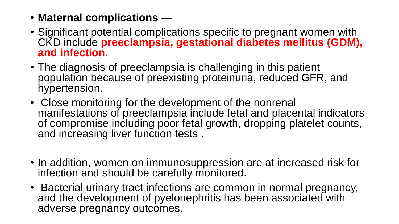- **Maternal complications** —
- Significant potential complications specific to pregnant women with CKD include **preeclampsia, gestational diabetes mellitus (GDM), and infection.**
- The diagnosis of preeclampsia is challenging in this patient population because of preexisting proteinuria, reduced GFR, and hypertension.
- Close monitoring for the development of the nonrenal manifestations of preeclampsia include fetal and placental indicators of compromise including poor fetal growth, dropping platelet counts, and increasing liver function tests .
- In addition, women on immunosuppression are at increased risk for infection and should be carefully monitored.
- Bacterial urinary tract infections are common in normal pregnancy, and the development of pyelonephritis has been associated with adverse pregnancy outcomes.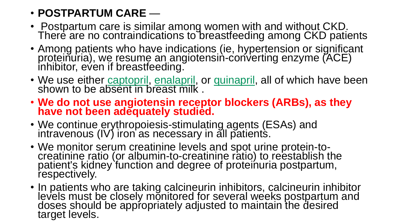#### • **POSTPARTUM CARE** —

- Postpartum care is similar among women with and without CKD. There are no contraindications to breastfeeding among CKD patients
- Among patients who have indications (ie, hypertension or significant proteinuria), we resume an angiotensin-converting enzyme (ACE) inhibitor, even if breastfeeding.
- We use either captopril, enalapril, or quinapril, all of which have been shown to be absent in breast milk.
- **We do not use angiotensin receptor blockers (ARBs), as they have not been adequately studied.**
- We continue erythropoiesis-stimulating agents (ESAs) and intravenous (IV) iron as necessary in all patients.
- We monitor serum creatinine levels and spot urine protein-tocreatinine ratio (or albumin-to-creatinine ratio) to reestablish the patient's kidney function and degree of proteinuria postpartum, respectively.
- In patients who are taking calcineurin inhibitors, calcineurin inhibitor levels must be closely monitored for several weeks postpartum and doses should be appropriately adjusted to maintain the desired target levels.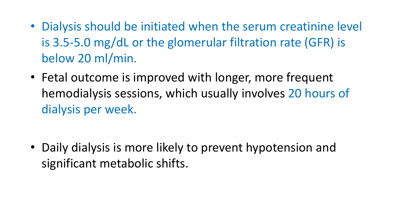- Dialysis should be initiated when the serum creatinine level is 3.5-5.0 mg/dL or the glomerular filtration rate (GFR) is below 20 ml/min.
- Fetal outcome is improved with longer, more frequent hemodialysis sessions, which usually involves 20 hours of dialysis per week.

• Daily dialysis is more likely to prevent hypotension and significant metabolic shifts.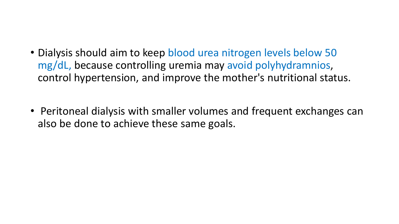- Dialysis should aim to keep blood urea nitrogen levels below 50 mg/dL, because controlling uremia may avoid polyhydramnios, control hypertension, and improve the mother's nutritional status.
- Peritoneal dialysis with smaller volumes and frequent exchanges can also be done to achieve these same goals.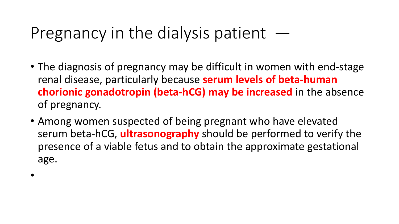### Pregnancy in the dialysis patient  $-$

- The diagnosis of pregnancy may be difficult in women with end-stage renal disease, particularly because **serum levels of beta-human chorionic gonadotropin (beta-hCG) may be increased** in the absence of pregnancy.
- Among women suspected of being pregnant who have elevated serum beta-hCG, **ultrasonography** should be performed to verify the presence of a viable fetus and to obtain the approximate gestational age.

•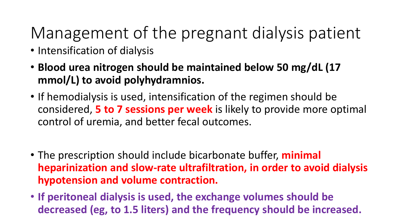## Management of the pregnant dialysis patient

- Intensification of dialysis
- **Blood urea nitrogen should be maintained below 50 mg/dL (17 mmol/L) to avoid polyhydramnios.**
- If hemodialysis is used, intensification of the regimen should be considered, **5 to 7 sessions per week** is likely to provide more optimal control of uremia, and better fecal outcomes.
- The prescription should include bicarbonate buffer, **minimal heparinization and slow-rate ultrafiltration, in order to avoid dialysis hypotension and volume contraction.**
- **If peritoneal dialysis is used, the exchange volumes should be decreased (eg, to 1.5 liters) and the frequency should be increased.**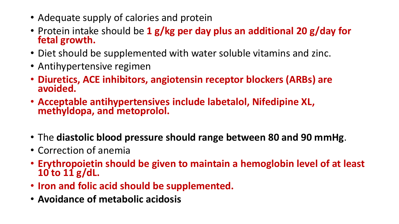- Adequate supply of calories and protein
- Protein intake should be **1 g/kg per day plus an additional 20 g/day for fetal growth.**
- Diet should be supplemented with water soluble vitamins and zinc.
- Antihypertensive regimen
- **Diuretics, ACE inhibitors, angiotensin receptor blockers (ARBs) are avoided.**
- **Acceptable antihypertensives include labetalol, Nifedipine XL, methyldopa, and metoprolol.**
- The **diastolic blood pressure should range between 80 and 90 mmHg**.
- Correction of anemia
- **Erythropoietin should be given to maintain a hemoglobin level of at least 10 to 11 g/dL.**
- **Iron and folic acid should be supplemented.**
- **Avoidance of metabolic acidosis**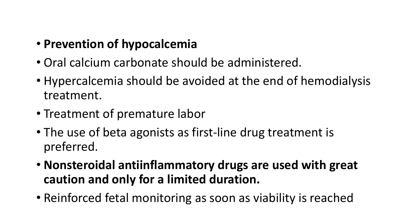#### • **Prevention of hypocalcemia**

- Oral calcium carbonate should be administered.
- Hypercalcemia should be avoided at the end of hemodialysis treatment.
- Treatment of premature labor
- The use of beta agonists as first-line drug treatment is preferred.
- **Nonsteroidal antiinflammatory drugs are used with great caution and only for a limited duration.**
- Reinforced fetal monitoring as soon as viability is reached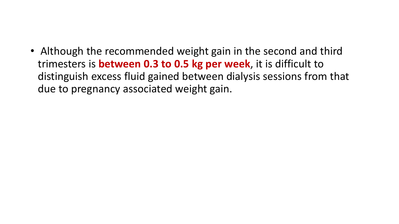• Although the recommended weight gain in the second and third trimesters is **between 0.3 to 0.5 kg per week**, it is difficult to distinguish excess fluid gained between dialysis sessions from that due to pregnancy associated weight gain.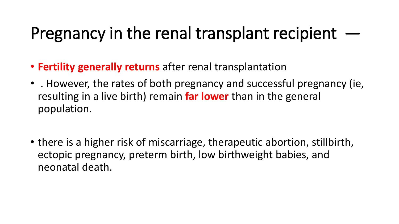## Pregnancy in the renal transplant recipient  $-$

- **Fertility generally returns** after renal transplantation
- . However, the rates of both pregnancy and successful pregnancy (ie, resulting in a live birth) remain **far lower** than in the general population.
- there is a higher risk of miscarriage, therapeutic abortion, stillbirth, ectopic pregnancy, preterm birth, low birthweight babies, and neonatal death.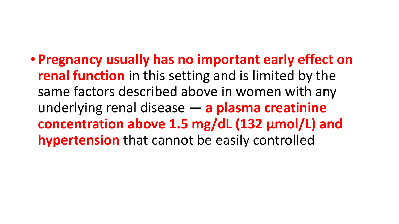• **Pregnancy usually has no important early effect on renal function** in this setting and is limited by the same factors described above in women with any underlying renal disease — **a plasma creatinine concentration above 1.5 mg/dL (132 µmol/L) and hypertension** that cannot be easily controlled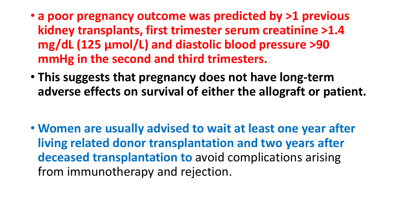- **a poor pregnancy outcome was predicted by >1 previous kidney transplants, first trimester serum creatinine >1.4 mg/dL (125 µmol/L) and diastolic blood pressure >90 mmHg in the second and third trimesters.**
- **This suggests that pregnancy does not have long-term adverse effects on survival of either the allograft or patient.**

• **Women are usually advised to wait at least one year after living related donor transplantation and two years after deceased transplantation to** avoid complications arising from immunotherapy and rejection.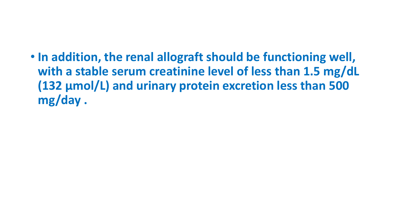• **In addition, the renal allograft should be functioning well, with a stable serum creatinine level of less than 1.5 mg/dL (132 µmol/L) and urinary protein excretion less than 500 mg/day .**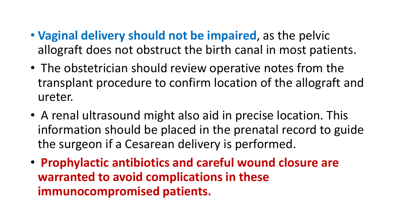- **Vaginal delivery should not be impaired**, as the pelvic allograft does not obstruct the birth canal in most patients.
- The obstetrician should review operative notes from the transplant procedure to confirm location of the allograft and ureter.
- A renal ultrasound might also aid in precise location. This information should be placed in the prenatal record to guide the surgeon if a Cesarean delivery is performed.
- **Prophylactic antibiotics and careful wound closure are warranted to avoid complications in these immunocompromised patients.**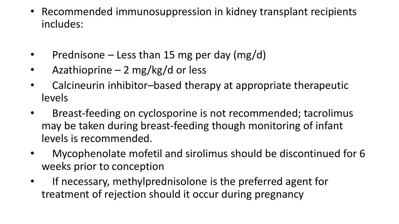- Recommended immunosuppression in kidney transplant recipients includes:
- Prednisone Less than 15 mg per day (mg/d)
- Azathioprine 2 mg/kg/d or less
- Calcineurin inhibitor-based therapy at appropriate therapeutic levels
- Breast-feeding on cyclosporine is not recommended; tacrolimus may be taken during breast-feeding though monitoring of infant levels is recommended.
- Mycophenolate mofetil and sirolimus should be discontinued for 6 weeks prior to conception
- If necessary, methylprednisolone is the preferred agent for treatment of rejection should it occur during pregnancy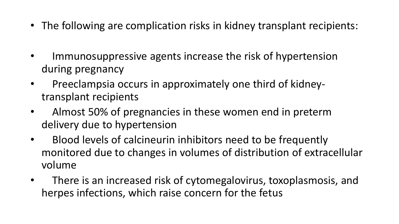- The following are complication risks in kidney transplant recipients:
- Immunosuppressive agents increase the risk of hypertension during pregnancy
- Preeclampsia occurs in approximately one third of kidneytransplant recipients
- Almost 50% of pregnancies in these women end in preterm delivery due to hypertension
- Blood levels of calcineurin inhibitors need to be frequently monitored due to changes in volumes of distribution of extracellular volume
- There is an increased risk of cytomegalovirus, toxoplasmosis, and herpes infections, which raise concern for the fetus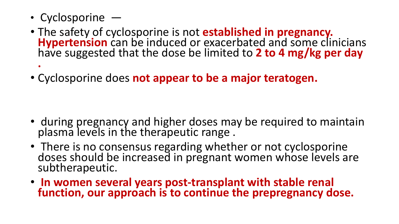- Cyclosporine —
- The safety of cyclosporine is not **established in pregnancy. Hypertension** can be induced or exacerbated and some clinicians have suggested that the dose be limited to **2 to 4 mg/kg per day .**
- Cyclosporine does **not appear to be a major teratogen.**

- during pregnancy and higher doses may be required to maintain plasma levels in the therapeutic range .
- There is no consensus regarding whether or not cyclosporine doses should be increased in pregnant women whose levels are subtherapeutic.
- **In women several years post-transplant with stable renal function, our approach is to continue the prepregnancy dose.**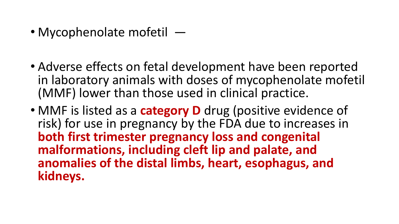- Mycophenolate mofetil —
- Adverse effects on fetal development have been reported in laboratory animals with doses of mycophenolate mofetil (MMF) lower than those used in clinical practice.
- MMF is listed as a **category D** drug (positive evidence of risk) for use in pregnancy by the FDA due to increases in **both first trimester pregnancy loss and congenital malformations, including cleft lip and palate, and anomalies of the distal limbs, heart, esophagus, and kidneys.**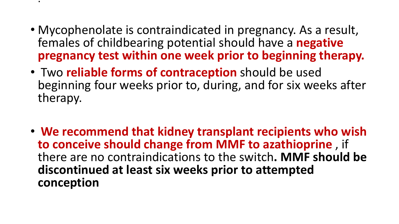• Mycophenolate is contraindicated in pregnancy. As a result, females of childbearing potential should have a **negative pregnancy test within one week prior to beginning therapy.**

• .

- Two **reliable forms of contraception** should be used beginning four weeks prior to, during, and for six weeks after therapy.
- **We recommend that kidney transplant recipients who wish to conceive should change from MMF to azathioprine** , if there are no contraindications to the switch**. MMF should be discontinued at least six weeks prior to attempted conception**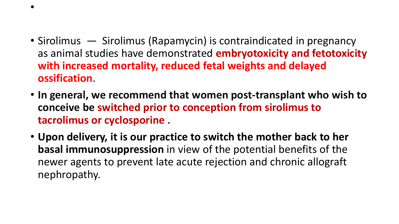- Sirolimus Sirolimus (Rapamycin) is contraindicated in pregnancy as animal studies have demonstrated **embryotoxicity and fetotoxicity with increased mortality, reduced fetal weights and delayed ossification**.
- **In general, we recommend that women post-transplant who wish to conceive be switched prior to conception from sirolimus to tacrolimus or cyclosporine .**
- **Upon delivery, it is our practice to switch the mother back to her basal immunosuppression** in view of the potential benefits of the newer agents to prevent late acute rejection and chronic allograft nephropathy.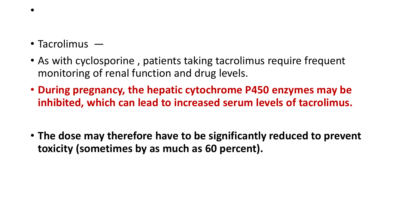- Tacrolimus —
- As with cyclosporine, patients taking tacrolimus require frequent monitoring of renal function and drug levels.
- **During pregnancy, the hepatic cytochrome P450 enzymes may be inhibited, which can lead to increased serum levels of tacrolimus.**
- **The dose may therefore have to be significantly reduced to prevent toxicity (sometimes by as much as 60 percent).**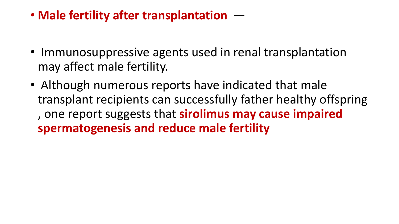• **Male fertility after transplantation** —

- Immunosuppressive agents used in renal transplantation may affect male fertility.
- Although numerous reports have indicated that male transplant recipients can successfully father healthy offspring , one report suggests that **sirolimus may cause impaired spermatogenesis and reduce male fertility**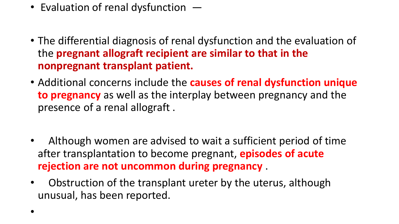- Evaluation of renal dysfunction  $-$
- The differential diagnosis of renal dysfunction and the evaluation of the **pregnant allograft recipient are similar to that in the nonpregnant transplant patient.**
- Additional concerns include the **causes of renal dysfunction unique to pregnancy** as well as the interplay between pregnancy and the presence of a renal allograft .
- Although women are advised to wait a sufficient period of time after transplantation to become pregnant, **episodes of acute rejection are not uncommon during pregnancy** .
- Obstruction of the transplant ureter by the uterus, although unusual, has been reported.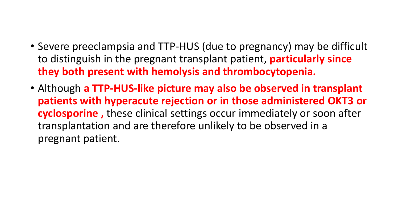- Severe preeclampsia and TTP-HUS (due to pregnancy) may be difficult to distinguish in the pregnant transplant patient, **particularly since they both present with hemolysis and thrombocytopenia.**
- Although **a TTP-HUS-like picture may also be observed in transplant patients with hyperacute rejection or in those administered OKT3 or cyclosporine ,** these clinical settings occur immediately or soon after transplantation and are therefore unlikely to be observed in a pregnant patient.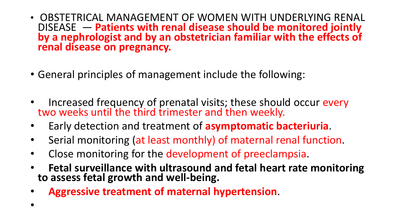- OBSTETRICAL MANAGEMENT OF WOMEN WITH UNDERLYING RENAL DISEASE — **Patients with renal disease should be monitored jointly by a nephrologist and by an obstetrician familiar with the effects of renal disease on pregnancy.**
- General principles of management include the following:
- Increased frequency of prenatal visits; these should occur every two weeks until the third trimester and then weekly.
- Early detection and treatment of **asymptomatic bacteriuria**.
- Serial monitoring (at least monthly) of maternal renal function.
- Close monitoring for the development of preeclampsia.
- **Fetal surveillance with ultrasound and fetal heart rate monitoring to assess fetal growth and well-being.**
- **Aggressive treatment of maternal hypertension**.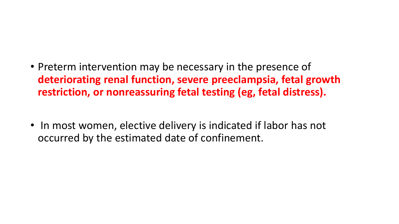- Preterm intervention may be necessary in the presence of **deteriorating renal function, severe preeclampsia, fetal growth restriction, or nonreassuring fetal testing (eg, fetal distress).**
- In most women, elective delivery is indicated if labor has not occurred by the estimated date of confinement.